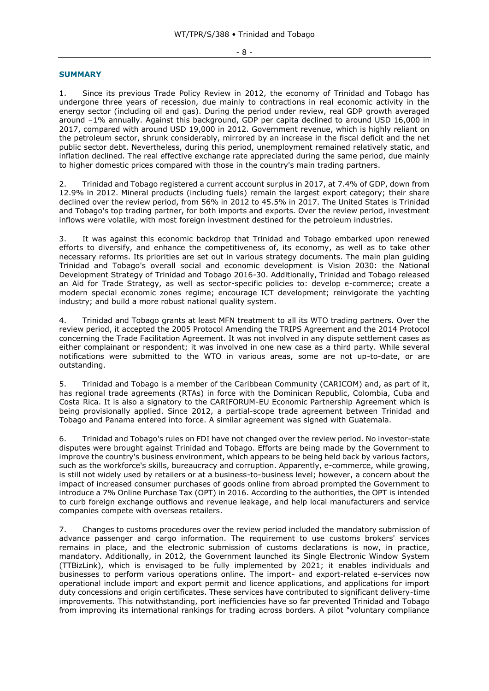## **SUMMARY**

1. Since its previous Trade Policy Review in 2012, the economy of Trinidad and Tobago has undergone three years of recession, due mainly to contractions in real economic activity in the energy sector (including oil and gas). During the period under review, real GDP growth averaged around –1% annually. Against this background, GDP per capita declined to around USD 16,000 in 2017, compared with around USD 19,000 in 2012. Government revenue, which is highly reliant on the petroleum sector, shrunk considerably, mirrored by an increase in the fiscal deficit and the net public sector debt. Nevertheless, during this period, unemployment remained relatively static, and inflation declined. The real effective exchange rate appreciated during the same period, due mainly to higher domestic prices compared with those in the country's main trading partners.

2. Trinidad and Tobago registered a current account surplus in 2017, at 7.4% of GDP, down from 12.9% in 2012. Mineral products (including fuels) remain the largest export category; their share declined over the review period, from 56% in 2012 to 45.5% in 2017. The United States is Trinidad and Tobago's top trading partner, for both imports and exports. Over the review period, investment inflows were volatile, with most foreign investment destined for the petroleum industries.

3. It was against this economic backdrop that Trinidad and Tobago embarked upon renewed efforts to diversify, and enhance the competitiveness of, its economy, as well as to take other necessary reforms. Its priorities are set out in various strategy documents. The main plan guiding Trinidad and Tobago's overall social and economic development is Vision 2030: the National Development Strategy of Trinidad and Tobago 2016-30. Additionally, Trinidad and Tobago released an Aid for Trade Strategy, as well as sector-specific policies to: develop e-commerce; create a modern special economic zones regime; encourage ICT development; reinvigorate the yachting industry; and build a more robust national quality system.

4. Trinidad and Tobago grants at least MFN treatment to all its WTO trading partners. Over the review period, it accepted the 2005 Protocol Amending the TRIPS Agreement and the 2014 Protocol concerning the Trade Facilitation Agreement. It was not involved in any dispute settlement cases as either complainant or respondent; it was involved in one new case as a third party. While several notifications were submitted to the WTO in various areas, some are not up-to-date, or are outstanding.

5. Trinidad and Tobago is a member of the Caribbean Community (CARICOM) and, as part of it, has regional trade agreements (RTAs) in force with the Dominican Republic, Colombia, Cuba and Costa Rica. It is also a signatory to the CARIFORUM-EU Economic Partnership Agreement which is being provisionally applied. Since 2012, a partial-scope trade agreement between Trinidad and Tobago and Panama entered into force. A similar agreement was signed with Guatemala.

6. Trinidad and Tobago's rules on FDI have not changed over the review period. No investor-state disputes were brought against Trinidad and Tobago. Efforts are being made by the Government to improve the country's business environment, which appears to be being held back by various factors, such as the workforce's skills, bureaucracy and corruption. Apparently, e-commerce, while growing, is still not widely used by retailers or at a business-to-business level; however, a concern about the impact of increased consumer purchases of goods online from abroad prompted the Government to introduce a 7% Online Purchase Tax (OPT) in 2016. According to the authorities, the OPT is intended to curb foreign exchange outflows and revenue leakage, and help local manufacturers and service companies compete with overseas retailers.

7. Changes to customs procedures over the review period included the mandatory submission of advance passenger and cargo information. The requirement to use customs brokers' services remains in place, and the electronic submission of customs declarations is now, in practice, mandatory. Additionally, in 2012, the Government launched its Single Electronic Window System (TTBizLink), which is envisaged to be fully implemented by 2021; it enables individuals and businesses to perform various operations online. The import- and export-related e-services now operational include import and export permit and licence applications, and applications for import duty concessions and origin certificates. These services have contributed to significant delivery-time improvements. This notwithstanding, port inefficiencies have so far prevented Trinidad and Tobago from improving its international rankings for trading across borders. A pilot "voluntary compliance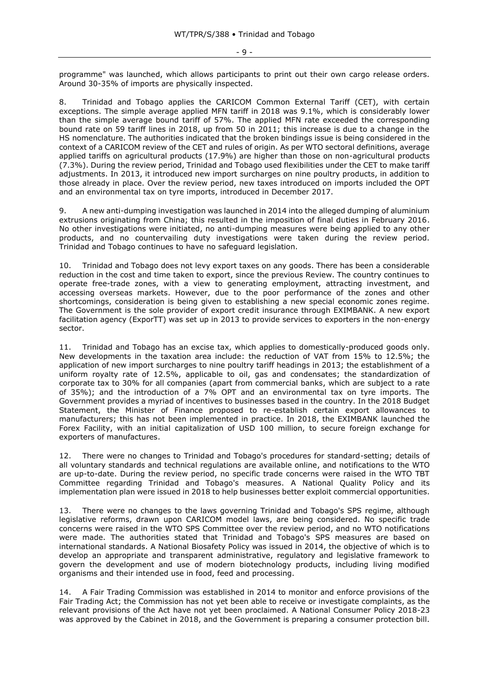programme" was launched, which allows participants to print out their own cargo release orders. Around 30-35% of imports are physically inspected.

8. Trinidad and Tobago applies the CARICOM Common External Tariff (CET), with certain exceptions. The simple average applied MFN tariff in 2018 was 9.1%, which is considerably lower than the simple average bound tariff of 57%. The applied MFN rate exceeded the corresponding bound rate on 59 tariff lines in 2018, up from 50 in 2011; this increase is due to a change in the HS nomenclature. The authorities indicated that the broken bindings issue is being considered in the context of a CARICOM review of the CET and rules of origin. As per WTO sectoral definitions, average applied tariffs on agricultural products (17.9%) are higher than those on non-agricultural products (7.3%). During the review period, Trinidad and Tobago used flexibilities under the CET to make tariff adjustments. In 2013, it introduced new import surcharges on nine poultry products, in addition to those already in place. Over the review period, new taxes introduced on imports included the OPT and an environmental tax on tyre imports, introduced in December 2017.

9. A new anti-dumping investigation was launched in 2014 into the alleged dumping of aluminium extrusions originating from China; this resulted in the imposition of final duties in February 2016. No other investigations were initiated, no anti-dumping measures were being applied to any other products, and no countervailing duty investigations were taken during the review period. Trinidad and Tobago continues to have no safeguard legislation.

10. Trinidad and Tobago does not levy export taxes on any goods. There has been a considerable reduction in the cost and time taken to export, since the previous Review. The country continues to operate free-trade zones, with a view to generating employment, attracting investment, and accessing overseas markets. However, due to the poor performance of the zones and other shortcomings, consideration is being given to establishing a new special economic zones regime. The Government is the sole provider of export credit insurance through EXIMBANK. A new export facilitation agency (ExporTT) was set up in 2013 to provide services to exporters in the non-energy sector.

11. Trinidad and Tobago has an excise tax, which applies to domestically-produced goods only. New developments in the taxation area include: the reduction of VAT from 15% to 12.5%; the application of new import surcharges to nine poultry tariff headings in 2013; the establishment of a uniform royalty rate of 12.5%, applicable to oil, gas and condensates; the standardization of corporate tax to 30% for all companies (apart from commercial banks, which are subject to a rate of 35%); and the introduction of a 7% OPT and an environmental tax on tyre imports. The Government provides a myriad of incentives to businesses based in the country. In the 2018 Budget Statement, the Minister of Finance proposed to re-establish certain export allowances to manufacturers; this has not been implemented in practice. In 2018, the EXIMBANK launched the Forex Facility, with an initial capitalization of USD 100 million, to secure foreign exchange for exporters of manufactures.

12. There were no changes to Trinidad and Tobago's procedures for standard-setting; details of all voluntary standards and technical regulations are available online, and notifications to the WTO are up-to-date. During the review period, no specific trade concerns were raised in the WTO TBT Committee regarding Trinidad and Tobago's measures. A National Quality Policy and its implementation plan were issued in 2018 to help businesses better exploit commercial opportunities.

13. There were no changes to the laws governing Trinidad and Tobago's SPS regime, although legislative reforms, drawn upon CARICOM model laws, are being considered. No specific trade concerns were raised in the WTO SPS Committee over the review period, and no WTO notifications were made. The authorities stated that Trinidad and Tobago's SPS measures are based on international standards. A National Biosafety Policy was issued in 2014, the objective of which is to develop an appropriate and transparent administrative, regulatory and legislative framework to govern the development and use of modern biotechnology products, including living modified organisms and their intended use in food, feed and processing.

14. A Fair Trading Commission was established in 2014 to monitor and enforce provisions of the Fair Trading Act; the Commission has not yet been able to receive or investigate complaints, as the relevant provisions of the Act have not yet been proclaimed. A National Consumer Policy 2018-23 was approved by the Cabinet in 2018, and the Government is preparing a consumer protection bill.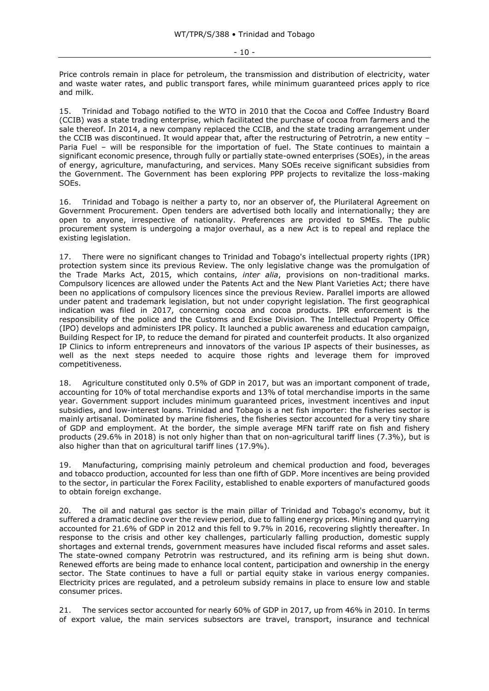- 10 -

Price controls remain in place for petroleum, the transmission and distribution of electricity, water and waste water rates, and public transport fares, while minimum guaranteed prices apply to rice and milk.

15. Trinidad and Tobago notified to the WTO in 2010 that the Cocoa and Coffee Industry Board (CCIB) was a state trading enterprise, which facilitated the purchase of cocoa from farmers and the sale thereof. In 2014, a new company replaced the CCIB, and the state trading arrangement under the CCIB was discontinued. It would appear that, after the restructuring of Petrotrin, a new entity – Paria Fuel – will be responsible for the importation of fuel. The State continues to maintain a significant economic presence, through fully or partially state-owned enterprises (SOEs), in the areas of energy, agriculture, manufacturing, and services. Many SOEs receive significant subsidies from the Government. The Government has been exploring PPP projects to revitalize the loss-making SOEs.

16. Trinidad and Tobago is neither a party to, nor an observer of, the Plurilateral Agreement on Government Procurement. Open tenders are advertised both locally and internationally; they are open to anyone, irrespective of nationality. Preferences are provided to SMEs. The public procurement system is undergoing a major overhaul, as a new Act is to repeal and replace the existing legislation.

17. There were no significant changes to Trinidad and Tobago's intellectual property rights (IPR) protection system since its previous Review. The only legislative change was the promulgation of the Trade Marks Act, 2015, which contains, *inter alia*, provisions on non-traditional marks. Compulsory licences are allowed under the Patents Act and the New Plant Varieties Act; there have been no applications of compulsory licences since the previous Review. Parallel imports are allowed under patent and trademark legislation, but not under copyright legislation. The first geographical indication was filed in 2017, concerning cocoa and cocoa products. IPR enforcement is the responsibility of the police and the Customs and Excise Division. The Intellectual Property Office (IPO) develops and administers IPR policy. It launched a public awareness and education campaign, Building Respect for IP, to reduce the demand for pirated and counterfeit products. It also organized IP Clinics to inform entrepreneurs and innovators of the various IP aspects of their businesses, as well as the next steps needed to acquire those rights and leverage them for improved competitiveness.

18. Agriculture constituted only 0.5% of GDP in 2017, but was an important component of trade, accounting for 10% of total merchandise exports and 13% of total merchandise imports in the same year. Government support includes minimum guaranteed prices, investment incentives and input subsidies, and low-interest loans. Trinidad and Tobago is a net fish importer: the fisheries sector is mainly artisanal. Dominated by marine fisheries, the fisheries sector accounted for a very tiny share of GDP and employment. At the border, the simple average MFN tariff rate on fish and fishery products (29.6% in 2018) is not only higher than that on non-agricultural tariff lines (7.3%), but is also higher than that on agricultural tariff lines (17.9%).

19. Manufacturing, comprising mainly petroleum and chemical production and food, beverages and tobacco production, accounted for less than one fifth of GDP. More incentives are being provided to the sector, in particular the Forex Facility, established to enable exporters of manufactured goods to obtain foreign exchange.

20. The oil and natural gas sector is the main pillar of Trinidad and Tobago's economy, but it suffered a dramatic decline over the review period, due to falling energy prices. Mining and quarrying accounted for 21.6% of GDP in 2012 and this fell to 9.7% in 2016, recovering slightly thereafter. In response to the crisis and other key challenges, particularly falling production, domestic supply shortages and external trends, government measures have included fiscal reforms and asset sales. The state-owned company Petrotrin was restructured, and its refining arm is being shut down. Renewed efforts are being made to enhance local content, participation and ownership in the energy sector. The State continues to have a full or partial equity stake in various energy companies. Electricity prices are regulated, and a petroleum subsidy remains in place to ensure low and stable consumer prices.

21. The services sector accounted for nearly 60% of GDP in 2017, up from 46% in 2010. In terms of export value, the main services subsectors are travel, transport, insurance and technical